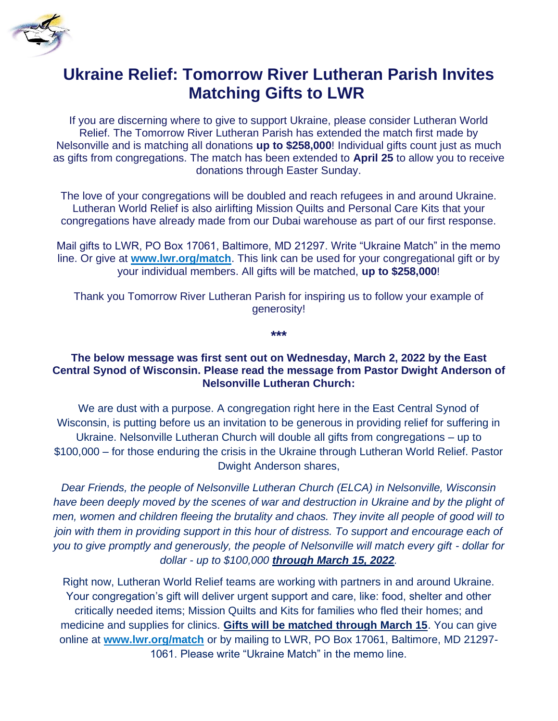

## **Ukraine Relief: Tomorrow River Lutheran Parish Invites Matching Gifts to LWR**

If you are discerning where to give to support Ukraine, please consider Lutheran World Relief. The Tomorrow River Lutheran Parish has extended the match first made by Nelsonville and is matching all donations **up to \$258,000**! Individual gifts count just as much as gifts from congregations. The match has been extended to **April 25** to allow you to receive donations through Easter Sunday.

The love of your congregations will be doubled and reach refugees in and around Ukraine. Lutheran World Relief is also airlifting Mission Quilts and Personal Care Kits that your congregations have already made from our Dubai warehouse as part of our first response.

Mail gifts to LWR, PO Box 17061, Baltimore, MD 21297. Write "Ukraine Match" in the memo line. Or give at **[www.lwr.org/match](https://ecsw.us6.list-manage.com/track/click?u=adc7611e5cadb04ccc1a934a3&id=ec2273bb89&e=c1ba5f13c3)**. This link can be used for your congregational gift or by your individual members. All gifts will be matched, **up to \$258,000**!

Thank you Tomorrow River Lutheran Parish for inspiring us to follow your example of generosity!

**\*\*\***

## **The below message was first sent out on Wednesday, March 2, 2022 by the East Central Synod of Wisconsin. Please read the message from Pastor Dwight Anderson of Nelsonville Lutheran Church:**

We are dust with a purpose. A congregation right here in the East Central Synod of Wisconsin, is putting before us an invitation to be generous in providing relief for suffering in Ukraine. Nelsonville Lutheran Church will double all gifts from congregations – up to \$100,000 – for those enduring the crisis in the Ukraine through Lutheran World Relief. Pastor Dwight Anderson shares,

*Dear Friends, the people of Nelsonville Lutheran Church (ELCA) in Nelsonville, Wisconsin*  have been deeply moved by the scenes of war and destruction in Ukraine and by the plight of *men, women and children fleeing the brutality and chaos. They invite all people of good will to join with them in providing support in this hour of distress. To support and encourage each of you to give promptly and generously, the people of Nelsonville will match every gift - dollar for dollar - up to \$100,000 through March 15, 2022.* 

Right now, Lutheran World Relief teams are working with partners in and around Ukraine. Your congregation's gift will deliver urgent support and care, like: food, shelter and other critically needed items; Mission Quilts and Kits for families who fled their homes; and medicine and supplies for clinics. **Gifts will be matched through March 15**. You can give online at **[www.lwr.org/match](https://donate.lwr.org/give/394396/#!/donation/checkout?utm_source=social_graphic&utm_medium=vanityurl&utm_content=link&utm_campaign=CongUA_Match&c_src=social_graphic&c_src2=vanityurl)** or by mailing to LWR, PO Box 17061, Baltimore, MD 21297- 1061. Please write "Ukraine Match" in the memo line.